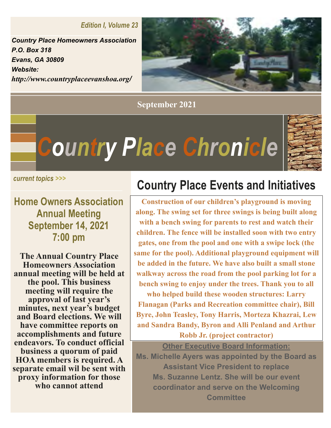*Edition I, Volume 23* 

*Country Place Homeowners Association P.O. Box 318 Evans, GA 30809 Website: http://www.countryplaceevanshoa.org/*



**September 2021**

*Country Place Chronicle*



**Home Owners Association Annual Meeting September 14, 2021 7:00 pm**

**The Annual Country Place Homeowners Association annual meeting will be held at the pool. This business meeting will require the approval of last year's minutes, next year's budget and Board elections. We will have committee reports on accomplishments and future endeavors. To conduct official business a quorum of paid HOA members is required. A separate email wil be sent with proxy information for those who cannot attend**

## **Country Place Events and Initiatives Country Place Everture Country Place Everture Country Place Everture Country Place Everture Contract Country Place Everture Contract Country Place Everture Country Place Everture Country Place Everture Country Place Evert**

**Construction of our children's playground is moving along. The swing set for three swings is being built along with a bench swing for parents to rest and watch their children. The fence will be installed soon with two entry gates, one from the pool and one with a swipe lock (the same for the pool). Additional playground equipment will be added in the future. We have also built a small stone walkway across the road from the pool parking lot for a bench swing to enjoy under the trees. Thank you to all who helped build these wooden structures: Larry** 

**Flanagan (Parks and Recreation committee chair), Bill Byre, John Teasley, Tony Harris, Morteza Khazrai, Lew and Sandra Bandy, Byron and Alli Penland and Arthur Robb Jr. (project contractor)**

**Other Executive Board Information: Ms. Michelle Ayers was appointed by the Board as Assistant Vice President to replace Ms. Suzanne Lentz. She will be our event coordinator and serve on the Welcoming Committee**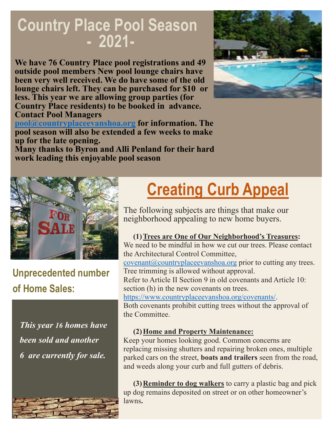# **Country Place Pool Season**<br>- 2021-

**We have 76 Country Place pool registrations and 49 outside pool members New pool lounge chairs have been very well received. We do have some of the old lounge chairs left. They can be purchased for \$10 or less. This year we are allowing group parties (for Country Place residents) to be booked in advance. Contact Pool Managers** 



**Many thanks to Byron and Alli Penland for their hard work leading this enjoyable pool season**



**Unprecedented number of Home Sales:**

*This year 16 homes have been sold and another 6 are currently for sale.* 



# **Creating Curb Appeal**

The following subjects are things that make our neighborhood appealing to new home buyers.

#### **(1)Trees are One of Our Neighborhood's Treasures:** We need to be mindful in how we cut our trees. Please contact

the Architectural Control Committee, covenant@countryplaceevanshoa.org prior to cutting any trees.

Tree trimming is allowed without approval. Refer to Article II Section 9 in old covenants and Article 10: section (h) in the new covenants on trees.

https://www.countryplaceevanshoa.org/covenants/.

Both covenants prohibit cutting trees without the approval of the Committee.

#### **(2)Home and Property Maintenance:**

Keep your homes looking good. Common concerns are replacing missing shutters and repairing broken ones, multiple parked cars on the street, **boats and trailers** seen from the road, and weeds along your curb and full gutters of debris.

**(3)Reminder to dog walkers** to carry a plastic bag and pick up dog remains deposited on street or on other homeowner's lawns**.**